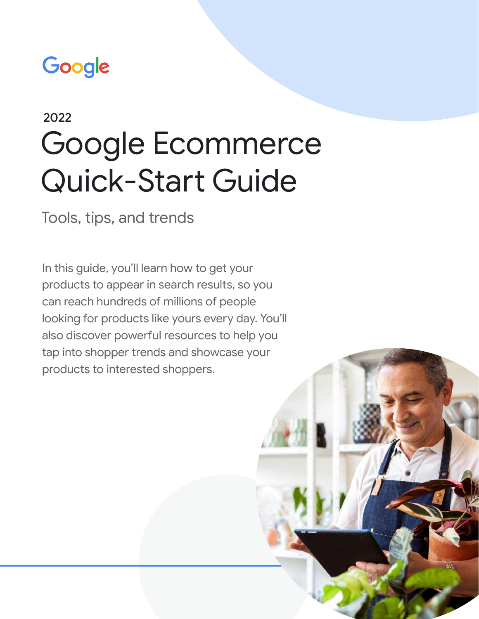# Google

# Google Ecommerce Quick-Start Guide 2022

Tools, tips, and trends

In this guide, you'll learn how to get your products to appear in search results, so you can reach hundreds of millions of people looking for products like yours every day. You'll also discover powerful resources to help you tap into shopper trends and showcase your products to interested shoppers.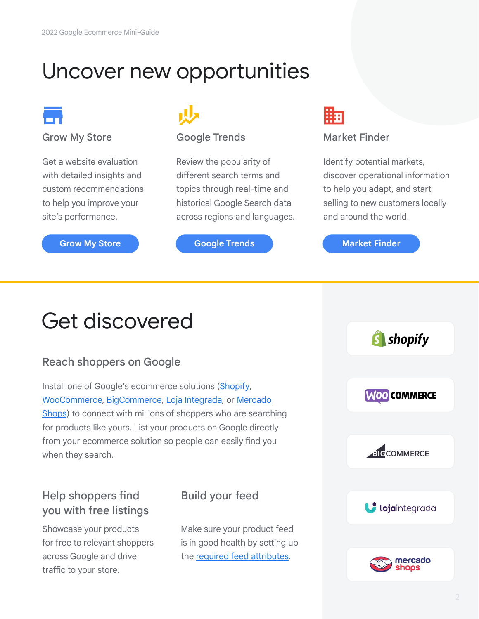## Uncover new opportunities



#### Grow My Store

Get a website evaluation with detailed insights and custom recommendations to help you improve your site's performance.

#### **[Grow My Store](https://www.google.com/retail/solutions/merchant-center/) <b>[Google Trends](https://trends.google.com/trends/) [Market Finder](https://marketfinder.thinkwithgoogle.com/intl/en_us/)**

### Google Trends

Review the popularity of different search terms and topics through real-time and historical Google Search data across regions and languages.



#### Market Finder

Identify potential markets, discover operational information to help you adapt, and start selling to new customers locally and around the world.

## Get discovered

## Reach shoppers on Google

Install one of Google's ecommerce solutions [\(Shopify](https://apps.shopify.com/google?utm_source=google&utm_medium=playbook&utm_campaign=google_referral+&utm_id=holidayplaybook), [WooCommerce,](https://woocommerce.com/products/google-listings-and-ads/?utm_source=partner_google&utm_medium=referral&utm_campaign=ecommerceguide) [BigCommerce,](https://www.bigcommerce.com/dm/google-native/?utm_medium=partner&utm_source=google&utm_campaign=tp_amer_all_sb_acq-cus_omni_partner_ct_2022_q2_ecommerceplaybook2022&utm_content=ecommerceplaybook2022) [Loja Integrada,](https://lojaintegrada.com.br/googleshopping/?utm_source=partner_google&utm_medium=referral&utm_campaign=ecommerceplaybook2021) or [Mercado](https://www.mercadoshops.com.mx/landings/googleshopping?utm_source=partner_google&utm_medium=referral&utm_campaign=e) [Shops](https://www.mercadoshops.com.mx/landings/googleshopping?utm_source=partner_google&utm_medium=referral&utm_campaign=e)) to connect with millions of shoppers who are searching for products like yours. List your products on Google directly from your ecommerce solution so people can easily find you when they search.

## Help shoppers find you with free listings

Showcase your products for free to relevant shoppers across Google and drive traffic to your store.

## Build your feed

Make sure your product feed is in good health by setting up the [required feed attributes](https://support.google.com/merchants/answer/7052112?visit_id=637340527459443631-1673595830&rd=1).

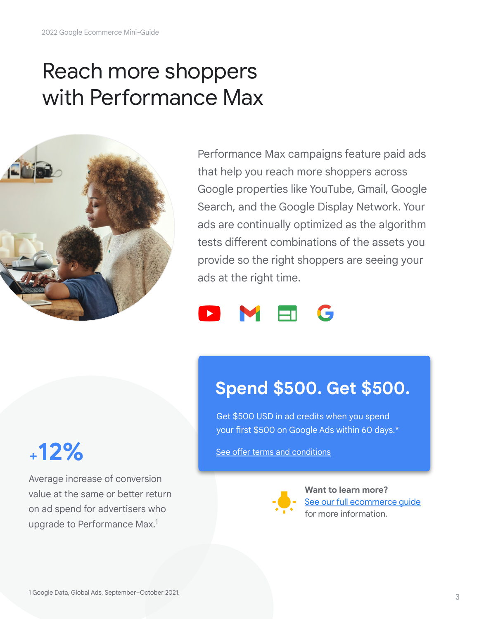## Reach more shoppers with Performance Max



Performance Max campaigns feature paid ads that help you reach more shoppers across Google properties like YouTube, Gmail, Google Search, and the Google Display Network. Your ads are continually optimized as the algorithm tests different combinations of the assets you provide so the right shoppers are seeing your ads at the right time.



## **Spend \$500. Get \$500.**

Get \$500 USD in ad credits when you spend your first \$500 on Google Ads within 60 days.\*

[See offer terms and conditions](#page-3-0)



**Want to learn more?** See our full ecommerce quide for more information.

# **+12%**

Average increase of conversion value at the same or better return on ad spend for advertisers who upgrade to Performance Max.<sup>1</sup>